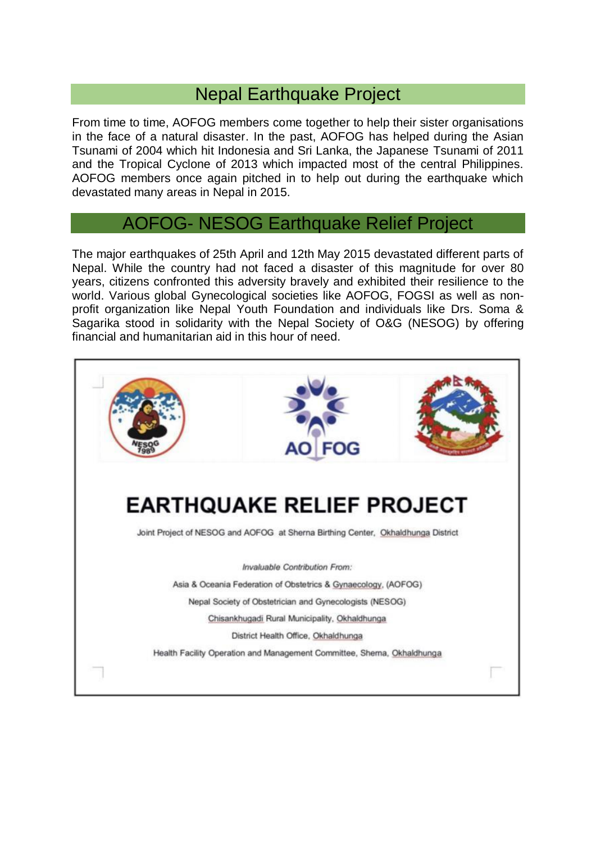## Nepal Earthquake Project

From time to time, AOFOG members come together to help their sister organisations in the face of a natural disaster. In the past, AOFOG has helped during the Asian Tsunami of 2004 which hit Indonesia and Sri Lanka, the Japanese Tsunami of 2011 and the Tropical Cyclone of 2013 which impacted most of the central Philippines. AOFOG members once again pitched in to help out during the earthquake which devastated many areas in Nepal in 2015.

## AOFOG- NESOG Earthquake Relief Project

The major earthquakes of 25th April and 12th May 2015 devastated different parts of Nepal. While the country had not faced a disaster of this magnitude for over 80 years, citizens confronted this adversity bravely and exhibited their resilience to the world. Various global Gynecological societies like AOFOG, FOGSI as well as nonprofit organization like Nepal Youth Foundation and individuals like Drs. Soma & Sagarika stood in solidarity with the Nepal Society of O&G (NESOG) by offering financial and humanitarian aid in this hour of need.